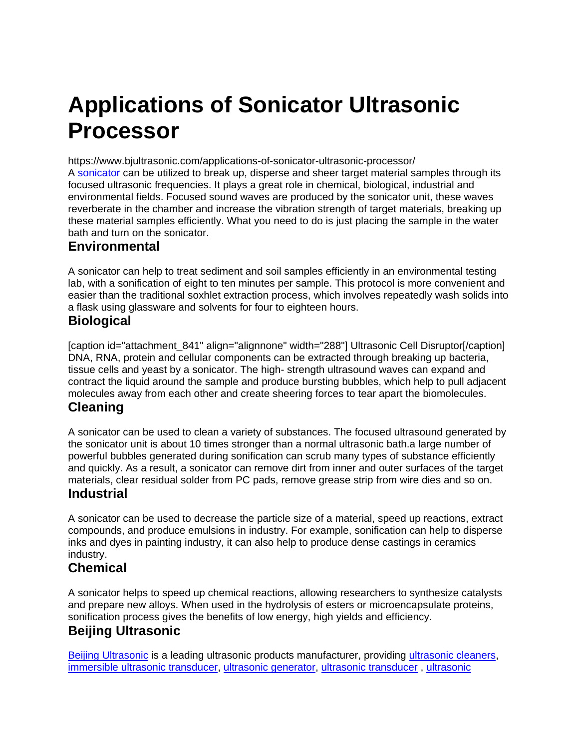# **Applications of Sonicator Ultrasonic Processor**

https://www.bjultrasonic.com/applications-of-sonicator-ultrasonic-processor/ A [sonicator](https://www.bjultrasonic.com/shop/ultrasonic-cell-disruptor/) can be utilized to break up, disperse and sheer target material samples through its focused ultrasonic frequencies. It plays a great role in chemical, biological, industrial and environmental fields. Focused sound waves are produced by the sonicator unit, these waves reverberate in the chamber and increase the vibration strength of target materials, breaking up these material samples efficiently. What you need to do is just placing the sample in the water bath and turn on the sonicator.

#### **Environmental**

A sonicator can help to treat sediment and soil samples efficiently in an environmental testing lab, with a sonification of eight to ten minutes per sample. This protocol is more convenient and easier than the traditional soxhlet extraction process, which involves repeatedly wash solids into a flask using glassware and solvents for four to eighteen hours.

## **Biological**

[caption id="attachment\_841" align="alignnone" width="288"] Ultrasonic Cell Disruptor[/caption] DNA, RNA, protein and cellular components can be extracted through breaking up bacteria, tissue cells and yeast by a sonicator. The high- strength ultrasound waves can expand and contract the liquid around the sample and produce bursting bubbles, which help to pull adjacent molecules away from each other and create sheering forces to tear apart the biomolecules.

#### **Cleaning**

A sonicator can be used to clean a variety of substances. The focused ultrasound generated by the sonicator unit is about 10 times stronger than a normal ultrasonic bath.a large number of powerful bubbles generated during sonification can scrub many types of substance efficiently and quickly. As a result, a sonicator can remove dirt from inner and outer surfaces of the target materials, clear residual solder from PC pads, remove grease strip from wire dies and so on.

#### **Industrial**

A sonicator can be used to decrease the particle size of a material, speed up reactions, extract compounds, and produce emulsions in industry. For example, sonification can help to disperse inks and dyes in painting industry, it can also help to produce dense castings in ceramics industry.

## **Chemical**

A sonicator helps to speed up chemical reactions, allowing researchers to synthesize catalysts and prepare new alloys. When used in the hydrolysis of esters or microencapsulate proteins, sonification process gives the benefits of low energy, high yields and efficiency.

## **Beijing Ultrasonic**

[Beijing Ultrasonic](https://www.bjultrasonic.com/) is a leading ultrasonic products manufacturer, providing [ultrasonic cleaners,](https://www.bjultrasonic.com/category/ultrasonic-cleaning-system/) [immersible ultrasonic transducer,](https://www.bjultrasonic.com/category/ultrasonic-cleaning-system/ultrasonic-immersible-transducer/) [ultrasonic generator,](https://www.bjultrasonic.com/category/ultrasonic-generator/) [ultrasonic transducer](https://www.bjultrasonic.com/category/ultrasonic-transducer/) , [ultrasonic](https://www.bjultrasonic.com/category/ultrasonic-atomizer/)